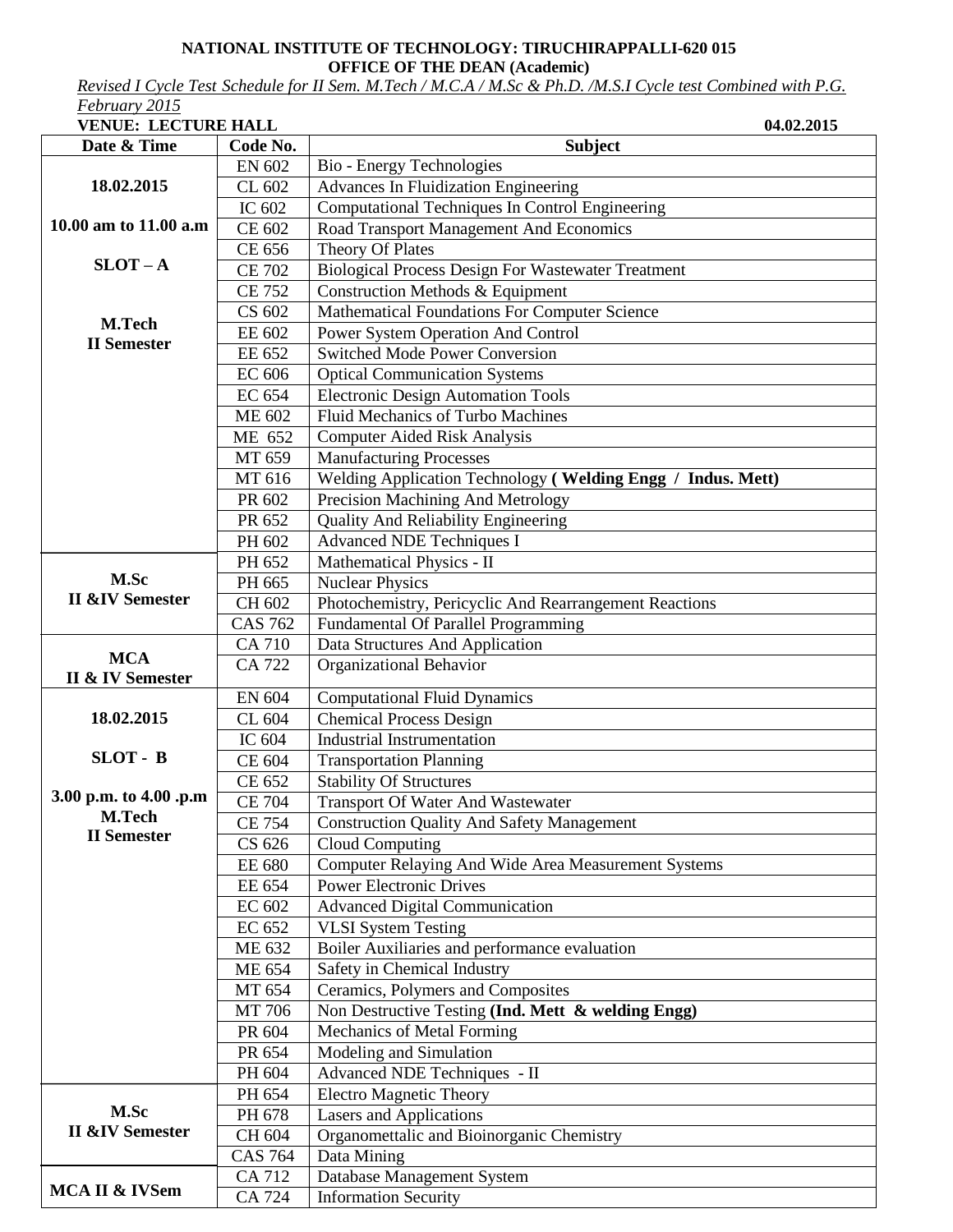## **NATIONAL INSTITUTE OF TECHNOLOGY: TIRUCHIRAPPALLI-620 015 OFFICE OF THE DEAN (Academic)**

*Revised I Cycle Test Schedule for II Sem. M.Tech / M.C.A / M.Sc & Ph.D. /M.S.I Cycle test Combined with P.G. February 2015* 

| 1 CD 1000 V ZVIJ |                            |  |
|------------------|----------------------------|--|
|                  | <b>VENUE: LECTURE HALL</b> |  |

| <b>VENUE: LECTURE HALL</b>              |                | 04.02.2015                                                  |
|-----------------------------------------|----------------|-------------------------------------------------------------|
| Date & Time                             | Code No.       | <b>Subject</b>                                              |
|                                         | EN 602         | Bio - Energy Technologies                                   |
| 18.02.2015                              | CL 602         | <b>Advances In Fluidization Engineering</b>                 |
|                                         | IC 602         | Computational Techniques In Control Engineering             |
| 10.00 am to 11.00 a.m                   | CE 602         | Road Transport Management And Economics                     |
|                                         | CE 656         | Theory Of Plates                                            |
| $SLOT - A$                              | <b>CE 702</b>  | <b>Biological Process Design For Wastewater Treatment</b>   |
|                                         | <b>CE 752</b>  | Construction Methods & Equipment                            |
|                                         | CS 602         | Mathematical Foundations For Computer Science               |
| M.Tech                                  | EE 602         | Power System Operation And Control                          |
| <b>II</b> Semester                      | EE 652         | <b>Switched Mode Power Conversion</b>                       |
|                                         | <b>EC 606</b>  | <b>Optical Communication Systems</b>                        |
|                                         | EC 654         | <b>Electronic Design Automation Tools</b>                   |
|                                         | <b>ME 602</b>  | <b>Fluid Mechanics of Turbo Machines</b>                    |
|                                         | ME 652         | <b>Computer Aided Risk Analysis</b>                         |
|                                         | MT 659         | <b>Manufacturing Processes</b>                              |
|                                         | MT 616         | Welding Application Technology (Welding Engg / Indus. Mett) |
|                                         | PR 602         | Precision Machining And Metrology                           |
|                                         | PR 652         | <b>Quality And Reliability Engineering</b>                  |
|                                         | PH 602         | <b>Advanced NDE Techniques I</b>                            |
|                                         | PH 652         | Mathematical Physics - II                                   |
| M.Sc                                    | PH 665         | <b>Nuclear Physics</b>                                      |
| <b>II &amp;IV Semester</b>              | CH 602         | Photochemistry, Pericyclic And Rearrangement Reactions      |
|                                         | CAS $762$      | <b>Fundamental Of Parallel Programming</b>                  |
|                                         | CA 710         | Data Structures And Application                             |
| <b>MCA</b>                              | <b>CA 722</b>  | Organizational Behavior                                     |
| II & IV Semester                        |                |                                                             |
|                                         | EN 604         | <b>Computational Fluid Dynamics</b>                         |
| 18.02.2015                              | CL 604         | <b>Chemical Process Design</b>                              |
|                                         | IC 604         | <b>Industrial Instrumentation</b>                           |
| SLOT - B                                | CE 604         | <b>Transportation Planning</b>                              |
|                                         | CE 652         | <b>Stability Of Structures</b>                              |
| 3.00 p.m. to 4.00 .p.m<br><b>M.Tech</b> | <b>CE 704</b>  | Transport Of Water And Wastewater                           |
| <b>II</b> Semester                      | <b>CE 754</b>  | <b>Construction Quality And Safety Management</b>           |
|                                         | CS 626         | <b>Cloud Computing</b>                                      |
|                                         | <b>EE 680</b>  | Computer Relaying And Wide Area Measurement Systems         |
|                                         | EE 654         | <b>Power Electronic Drives</b>                              |
|                                         | EC 602         | <b>Advanced Digital Communication</b>                       |
|                                         | EC 652         | <b>VLSI System Testing</b>                                  |
|                                         | ME 632         | Boiler Auxiliaries and performance evaluation               |
|                                         | ME 654         | Safety in Chemical Industry                                 |
|                                         | MT 654         | Ceramics, Polymers and Composites                           |
|                                         | MT 706         | Non Destructive Testing (Ind. Mett & welding Engg)          |
|                                         | PR 604         | Mechanics of Metal Forming                                  |
|                                         | PR 654         | Modeling and Simulation                                     |
|                                         | PH 604         | Advanced NDE Techniques - II                                |
|                                         | PH 654         | <b>Electro Magnetic Theory</b>                              |
| M.Sc                                    | PH 678         | <b>Lasers and Applications</b>                              |
| <b>II &amp;IV Semester</b>              | CH 604         | Organomettalic and Bioinorganic Chemistry                   |
|                                         | <b>CAS 764</b> | Data Mining                                                 |
| MCA II & IVSem                          | CA 712         | Database Management System                                  |
|                                         | CA 724         | <b>Information Security</b>                                 |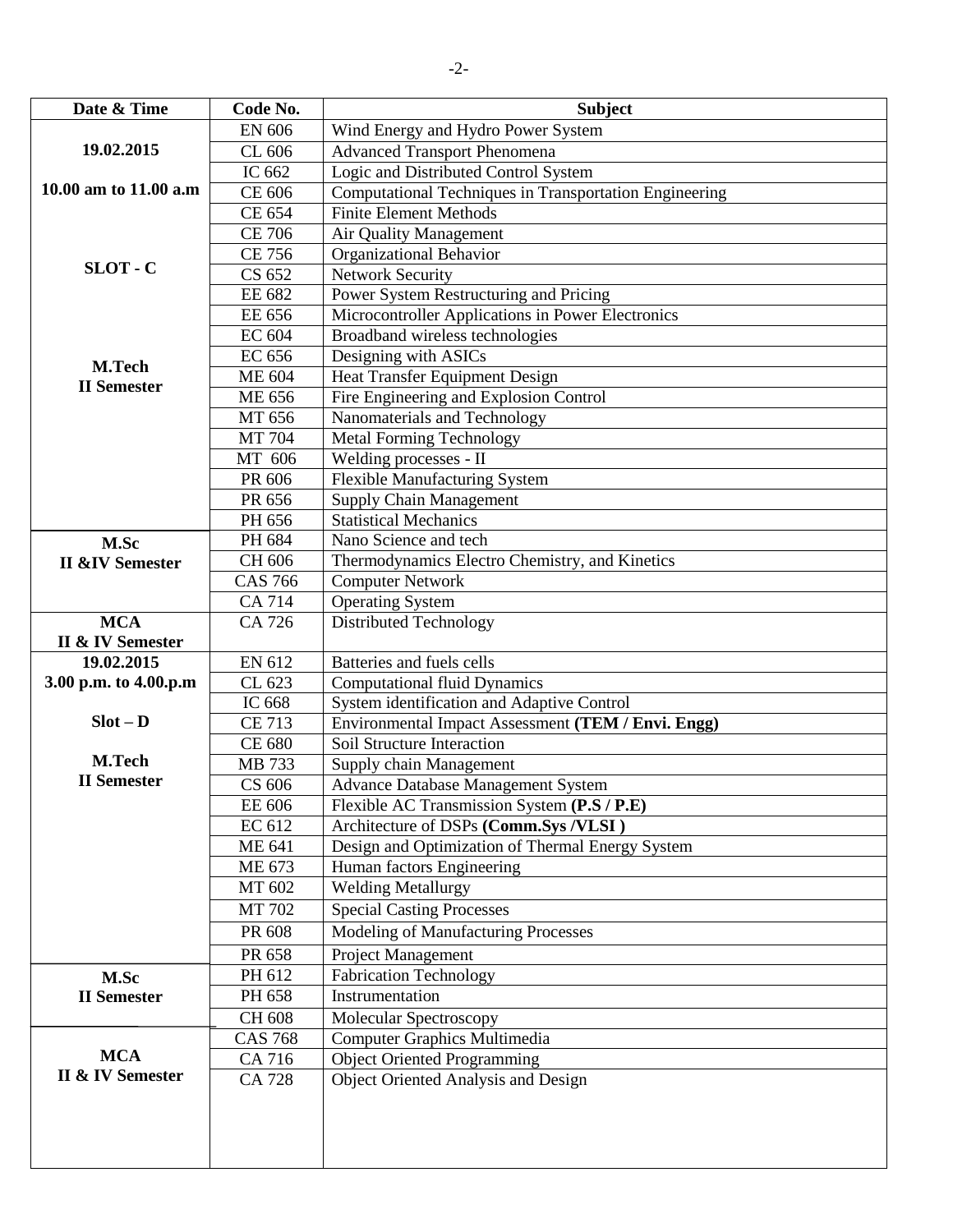| Date & Time                               | Code No.       | <b>Subject</b>                                                   |
|-------------------------------------------|----------------|------------------------------------------------------------------|
|                                           | <b>EN 606</b>  | Wind Energy and Hydro Power System                               |
| 19.02.2015                                | CL 606         | <b>Advanced Transport Phenomena</b>                              |
|                                           | IC 662         | Logic and Distributed Control System                             |
| 10.00 am to 11.00 a.m                     | CE 606         | Computational Techniques in Transportation Engineering           |
|                                           | CE 654         | <b>Finite Element Methods</b>                                    |
|                                           | <b>CE 706</b>  | Air Quality Management                                           |
|                                           | <b>CE 756</b>  | Organizational Behavior                                          |
| SLOT - C                                  | CS 652         | <b>Network Security</b>                                          |
|                                           | EE 682         | Power System Restructuring and Pricing                           |
|                                           | EE 656         | Microcontroller Applications in Power Electronics                |
|                                           | EC 604         | Broadband wireless technologies                                  |
| M.Tech                                    | EC 656         | Designing with ASICs                                             |
| <b>II</b> Semester                        | ME 604         | Heat Transfer Equipment Design                                   |
|                                           | <b>ME 656</b>  | Fire Engineering and Explosion Control                           |
|                                           | MT 656         | Nanomaterials and Technology                                     |
|                                           | <b>MT 704</b>  | <b>Metal Forming Technology</b>                                  |
|                                           | MT 606         | Welding processes - II                                           |
|                                           | PR 606         | <b>Flexible Manufacturing System</b>                             |
|                                           | PR 656         | <b>Supply Chain Management</b>                                   |
|                                           | PH 656         | <b>Statistical Mechanics</b>                                     |
| M.Sc                                      | PH 684         | Nano Science and tech                                            |
| <b>II &amp;IV Semester</b>                | CH 606         | Thermodynamics Electro Chemistry, and Kinetics                   |
|                                           | <b>CAS 766</b> | <b>Computer Network</b>                                          |
|                                           | <b>CA 714</b>  | Operating System                                                 |
| <b>MCA</b>                                | CA 726         | <b>Distributed Technology</b>                                    |
| <b>II &amp; IV Semester</b><br>19.02.2015 | EN 612         |                                                                  |
| 3.00 p.m. to 4.00.p.m                     | CL 623         | Batteries and fuels cells<br><b>Computational fluid Dynamics</b> |
|                                           | IC 668         | System identification and Adaptive Control                       |
| $Slot - D$                                | <b>CE 713</b>  | Environmental Impact Assessment (TEM / Envi. Engg)               |
|                                           | <b>CE 680</b>  | Soil Structure Interaction                                       |
| M.Tech                                    | MB 733         | Supply chain Management                                          |
| <b>II</b> Semester                        | CS 606         | Advance Database Management System                               |
|                                           | EE 606         | Flexible AC Transmission System (P.S / P.E)                      |
|                                           | EC 612         | Architecture of DSPs (Comm.Sys /VLSI)                            |
|                                           | <b>ME 641</b>  | Design and Optimization of Thermal Energy System                 |
|                                           | ME 673         | Human factors Engineering                                        |
|                                           | MT 602         | <b>Welding Metallurgy</b>                                        |
|                                           | MT 702         | <b>Special Casting Processes</b>                                 |
|                                           | PR 608         | Modeling of Manufacturing Processes                              |
|                                           | PR 658         | Project Management                                               |
| M.Sc                                      | PH 612         | Fabrication Technology                                           |
| <b>II</b> Semester                        | PH 658         | Instrumentation                                                  |
|                                           | CH 608         | Molecular Spectroscopy                                           |
|                                           | <b>CAS 768</b> | Computer Graphics Multimedia                                     |
| <b>MCA</b>                                | CA 716         | <b>Object Oriented Programming</b>                               |
| II & IV Semester                          | <b>CA 728</b>  | Object Oriented Analysis and Design                              |
|                                           |                |                                                                  |
|                                           |                |                                                                  |
|                                           |                |                                                                  |
|                                           |                |                                                                  |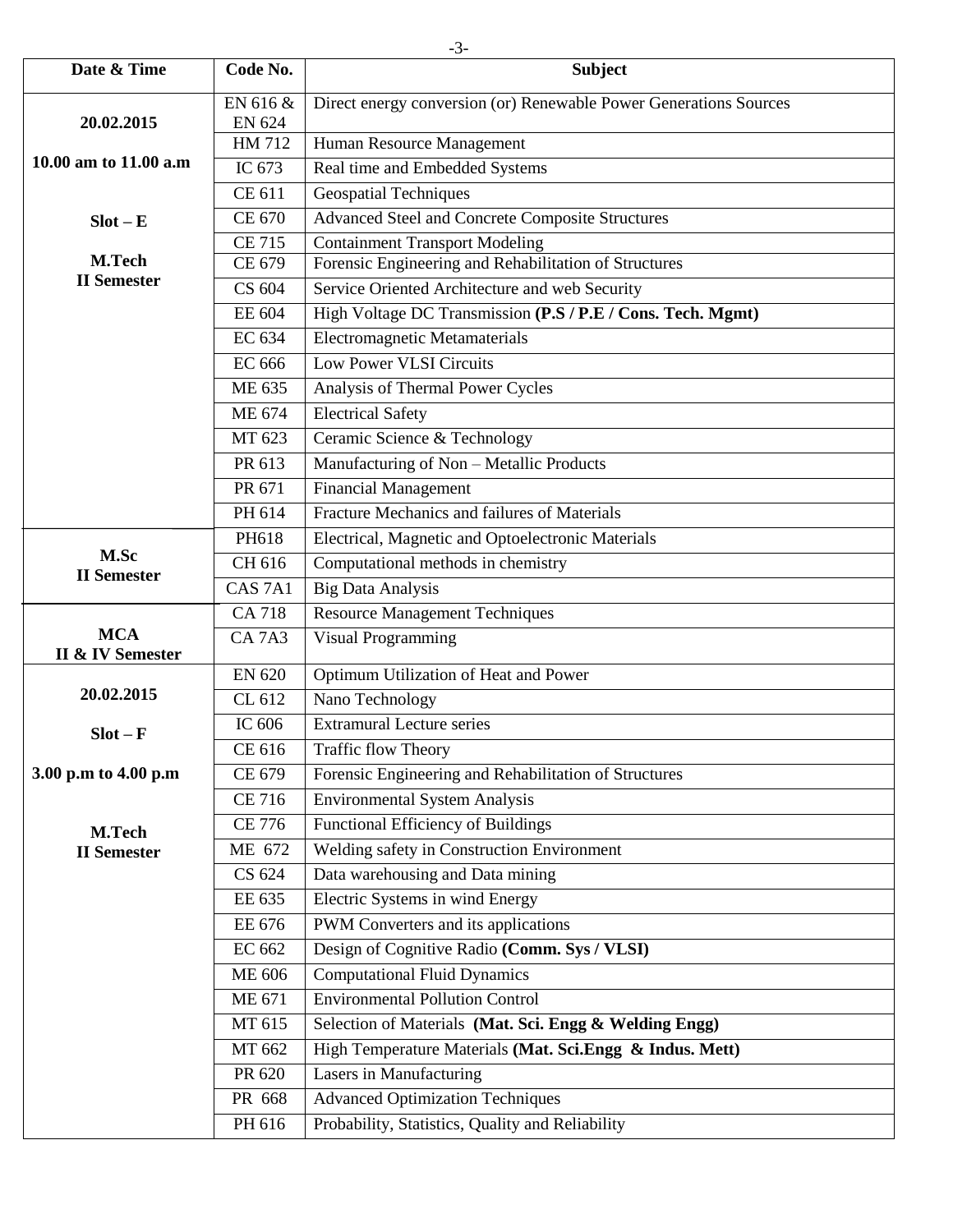| Date & Time                  | Code No.           | <b>Subject</b>                                                    |
|------------------------------|--------------------|-------------------------------------------------------------------|
|                              | EN 616 &           | Direct energy conversion (or) Renewable Power Generations Sources |
| 20.02.2015                   | <b>EN 624</b>      |                                                                   |
|                              | HM 712             | Human Resource Management                                         |
| 10.00 am to 11.00 a.m        | IC 673             | Real time and Embedded Systems                                    |
|                              | CE 611             | <b>Geospatial Techniques</b>                                      |
| $Slot - E$                   | CE 670             | Advanced Steel and Concrete Composite Structures                  |
|                              | <b>CE 715</b>      | <b>Containment Transport Modeling</b>                             |
| M.Tech<br><b>II</b> Semester | CE 679             | Forensic Engineering and Rehabilitation of Structures             |
|                              | CS 604             | Service Oriented Architecture and web Security                    |
|                              | EE 604             | High Voltage DC Transmission (P.S / P.E / Cons. Tech. Mgmt)       |
|                              | EC 634             | <b>Electromagnetic Metamaterials</b>                              |
|                              | <b>EC 666</b>      | <b>Low Power VLSI Circuits</b>                                    |
|                              | ME 635             | Analysis of Thermal Power Cycles                                  |
|                              | ME 674             | <b>Electrical Safety</b>                                          |
|                              | MT 623             | Ceramic Science & Technology                                      |
|                              | PR 613             | Manufacturing of Non - Metallic Products                          |
|                              | PR 671             | Financial Management                                              |
|                              | PH 614             | Fracture Mechanics and failures of Materials                      |
|                              | PH618              | Electrical, Magnetic and Optoelectronic Materials                 |
| M.Sc<br><b>II</b> Semester   | CH 616             | Computational methods in chemistry                                |
|                              | CAS <sub>7A1</sub> | <b>Big Data Analysis</b>                                          |
|                              | <b>CA 718</b>      | <b>Resource Management Techniques</b>                             |
| <b>MCA</b>                   | <b>CA7A3</b>       | <b>Visual Programming</b>                                         |
| <b>II &amp; IV Semester</b>  | <b>EN 620</b>      | Optimum Utilization of Heat and Power                             |
| 20.02.2015                   | CL 612             | Nano Technology                                                   |
|                              | IC 606             | <b>Extramural Lecture series</b>                                  |
| $Slot - F$                   | CE 616             | <b>Traffic flow Theory</b>                                        |
| 3.00 p.m to 4.00 p.m         | CE 679             | Forensic Engineering and Rehabilitation of Structures             |
|                              | <b>CE 716</b>      | <b>Environmental System Analysis</b>                              |
|                              | <b>CE 776</b>      | Functional Efficiency of Buildings                                |
| M.Tech                       | ME 672             | Welding safety in Construction Environment                        |
| <b>II</b> Semester           | CS 624             | Data warehousing and Data mining                                  |
|                              | EE 635             | Electric Systems in wind Energy                                   |
|                              | EE 676             | PWM Converters and its applications                               |
|                              | EC 662             | Design of Cognitive Radio (Comm. Sys / VLSI)                      |
|                              | <b>ME 606</b>      | <b>Computational Fluid Dynamics</b>                               |
|                              | ME 671             | <b>Environmental Pollution Control</b>                            |
|                              | MT 615             | Selection of Materials (Mat. Sci. Engg & Welding Engg)            |
|                              | MT 662             | High Temperature Materials (Mat. Sci.Engg & Indus. Mett)          |
|                              | PR 620             | Lasers in Manufacturing                                           |
|                              | PR 668             | <b>Advanced Optimization Techniques</b>                           |
|                              |                    |                                                                   |
|                              | PH 616             | Probability, Statistics, Quality and Reliability                  |